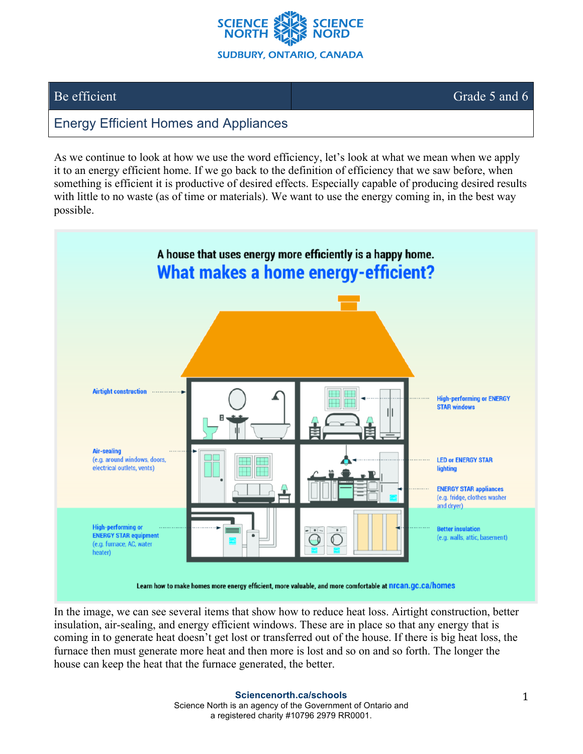

## Be efficient Grade 5 and 6

## Energy Efficient Homes and Appliances

As we continue to look at how we use the word efficiency, let's look at what we mean when we apply it to an energy efficient home. If we go back to the definition of efficiency that we saw before, when something is efficient it is productive of desired effects. Especially capable of producing desired results with little to no waste (as of time or materials). We want to use the energy coming in, in the best way possible.



In the image, we can see several items that show how to reduce heat loss. Airtight construction, better insulation, air-sealing, and energy efficient windows. These are in place so that any energy that is coming in to generate heat doesn't get lost or transferred out of the house. If there is big heat loss, the furnace then must generate more heat and then more is lost and so on and so forth. The longer the house can keep the heat that the furnace generated, the better.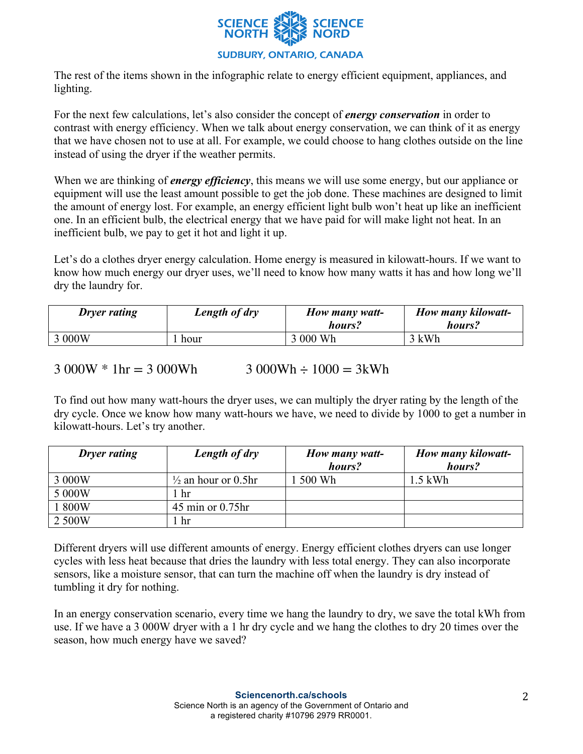

The rest of the items shown in the infographic relate to energy efficient equipment, appliances, and lighting.

For the next few calculations, let's also consider the concept of *energy conservation* in order to contrast with energy efficiency. When we talk about energy conservation, we can think of it as energy that we have chosen not to use at all. For example, we could choose to hang clothes outside on the line instead of using the dryer if the weather permits.

When we are thinking of *energy efficiency*, this means we will use some energy, but our appliance or equipment will use the least amount possible to get the job done. These machines are designed to limit the amount of energy lost. For example, an energy efficient light bulb won't heat up like an inefficient one. In an efficient bulb, the electrical energy that we have paid for will make light not heat. In an inefficient bulb, we pay to get it hot and light it up.

Let's do a clothes dryer energy calculation. Home energy is measured in kilowatt-hours. If we want to know how much energy our dryer uses, we'll need to know how many watts it has and how long we'll dry the laundry for.

| <b>Dryer rating</b> | Length of dry | How many watt-<br>hours? | How many kilowatt-<br>hours? |
|---------------------|---------------|--------------------------|------------------------------|
| 3 000W              | hour          | 3 000 Wh                 | 3 kWh                        |

 $3000W * 1hr = 3000Wh$   $3000Wh \div 1000 = 3kWh$ 

To find out how many watt-hours the dryer uses, we can multiply the dryer rating by the length of the dry cycle. Once we know how many watt-hours we have, we need to divide by 1000 to get a number in kilowatt-hours. Let's try another.

| <b>Dryer rating</b> | Length of dry                  | How many watt- | How many kilowatt- |
|---------------------|--------------------------------|----------------|--------------------|
|                     |                                | hours?         | hours?             |
| 3 000W              | $\frac{1}{2}$ an hour or 0.5hr | 500 Wh         | 1.5 kWh            |
| 5 000W              | hr                             |                |                    |
| 1 800W              | $45$ min or $0.75$ hr          |                |                    |
| 2 500W              | hr                             |                |                    |

Different dryers will use different amounts of energy. Energy efficient clothes dryers can use longer cycles with less heat because that dries the laundry with less total energy. They can also incorporate sensors, like a moisture sensor, that can turn the machine off when the laundry is dry instead of tumbling it dry for nothing.

In an energy conservation scenario, every time we hang the laundry to dry, we save the total kWh from use. If we have a 3 000W dryer with a 1 hr dry cycle and we hang the clothes to dry 20 times over the season, how much energy have we saved?